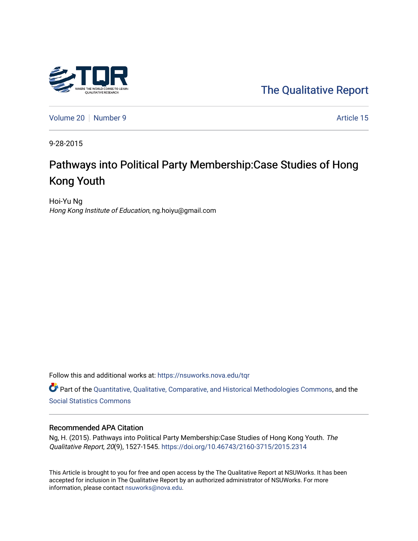

[The Qualitative Report](https://nsuworks.nova.edu/tqr) 

[Volume 20](https://nsuworks.nova.edu/tqr/vol20) [Number 9](https://nsuworks.nova.edu/tqr/vol20/iss9) Article 15

9-28-2015

# Pathways into Political Party Membership:Case Studies of Hong Kong Youth

Hoi-Yu Ng Hong Kong Institute of Education, ng.hoiyu@gmail.com

Follow this and additional works at: [https://nsuworks.nova.edu/tqr](https://nsuworks.nova.edu/tqr?utm_source=nsuworks.nova.edu%2Ftqr%2Fvol20%2Fiss9%2F15&utm_medium=PDF&utm_campaign=PDFCoverPages) 

Part of the [Quantitative, Qualitative, Comparative, and Historical Methodologies Commons,](http://network.bepress.com/hgg/discipline/423?utm_source=nsuworks.nova.edu%2Ftqr%2Fvol20%2Fiss9%2F15&utm_medium=PDF&utm_campaign=PDFCoverPages) and the [Social Statistics Commons](http://network.bepress.com/hgg/discipline/1275?utm_source=nsuworks.nova.edu%2Ftqr%2Fvol20%2Fiss9%2F15&utm_medium=PDF&utm_campaign=PDFCoverPages) 

#### Recommended APA Citation

Ng, H. (2015). Pathways into Political Party Membership:Case Studies of Hong Kong Youth. The Qualitative Report, 20(9), 1527-1545. <https://doi.org/10.46743/2160-3715/2015.2314>

This Article is brought to you for free and open access by the The Qualitative Report at NSUWorks. It has been accepted for inclusion in The Qualitative Report by an authorized administrator of NSUWorks. For more information, please contact [nsuworks@nova.edu.](mailto:nsuworks@nova.edu)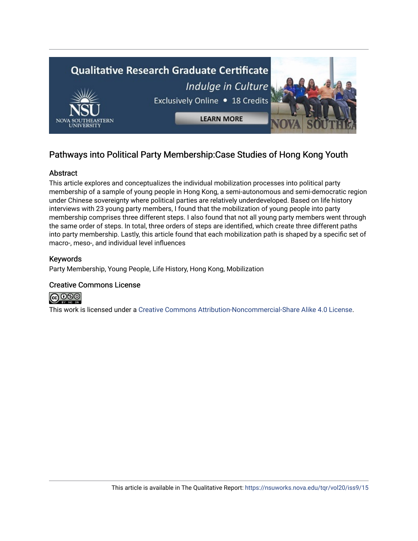

# Pathways into Political Party Membership:Case Studies of Hong Kong Youth

## Abstract

This article explores and conceptualizes the individual mobilization processes into political party membership of a sample of young people in Hong Kong, a semi-autonomous and semi-democratic region under Chinese sovereignty where political parties are relatively underdeveloped. Based on life history interviews with 23 young party members, I found that the mobilization of young people into party membership comprises three different steps. I also found that not all young party members went through the same order of steps. In total, three orders of steps are identified, which create three different paths into party membership. Lastly, this article found that each mobilization path is shaped by a specific set of macro-, meso-, and individual level influences

### Keywords

Party Membership, Young People, Life History, Hong Kong, Mobilization

### Creative Commons License



This work is licensed under a [Creative Commons Attribution-Noncommercial-Share Alike 4.0 License](https://creativecommons.org/licenses/by-nc-sa/4.0/).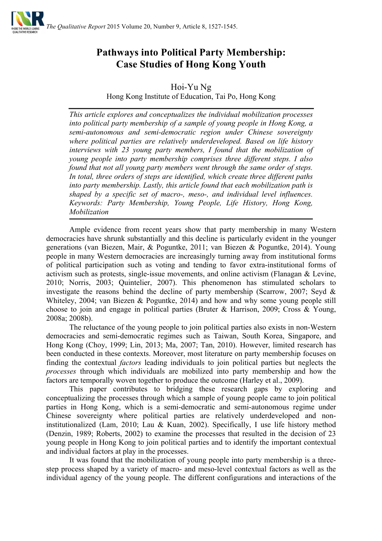

# **Pathways into Political Party Membership: Case Studies of Hong Kong Youth**

Hoi-Yu Ng

Hong Kong Institute of Education, Tai Po, Hong Kong

*This article explores and conceptualizes the individual mobilization processes into political party membership of a sample of young people in Hong Kong, a semi-autonomous and semi-democratic region under Chinese sovereignty where political parties are relatively underdeveloped. Based on life history interviews with 23 young party members, I found that the mobilization of young people into party membership comprises three different steps. I also found that not all young party members went through the same order of steps. In total, three orders of steps are identified, which create three different paths into party membership. Lastly, this article found that each mobilization path is shaped by a specific set of macro-, meso-, and individual level influences. Keywords: Party Membership, Young People, Life History, Hong Kong, Mobilization*

Ample evidence from recent years show that party membership in many Western democracies have shrunk substantially and this decline is particularly evident in the younger generations (van Biezen, Mair, & Poguntke, 2011; van Biezen & Poguntke, 2014). Young people in many Western democracies are increasingly turning away from institutional forms of political participation such as voting and tending to favor extra-institutional forms of activism such as protests, single-issue movements, and online activism (Flanagan & Levine, 2010; Norris, 2003; Quintelier, 2007). This phenomenon has stimulated scholars to investigate the reasons behind the decline of party membership (Scarrow, 2007; Seyd  $\&$ Whiteley, 2004; van Biezen & Poguntke, 2014) and how and why some young people still choose to join and engage in political parties (Bruter & Harrison, 2009; Cross & Young, 2008a; 2008b).

The reluctance of the young people to join political parties also exists in non-Western democracies and semi-democratic regimes such as Taiwan, South Korea, Singapore, and Hong Kong (Choy, 1999; Lin, 2013; Ma, 2007; Tan, 2010). However, limited research has been conducted in these contexts. Moreover, most literature on party membership focuses on finding the contextual *factors* leading individuals to join political parties but neglects the *processes* through which individuals are mobilized into party membership and how the factors are temporally woven together to produce the outcome (Harley et al., 2009).

This paper contributes to bridging these research gaps by exploring and conceptualizing the processes through which a sample of young people came to join political parties in Hong Kong, which is a semi-democratic and semi-autonomous regime under Chinese sovereignty where political parties are relatively underdeveloped and noninstitutionalized (Lam, 2010; Lau & Kuan, 2002). Specifically, I use life history method (Denzin, 1989; Roberts, 2002) to examine the processes that resulted in the decision of 23 young people in Hong Kong to join political parties and to identify the important contextual and individual factors at play in the processes.

It was found that the mobilization of young people into party membership is a threestep process shaped by a variety of macro- and meso-level contextual factors as well as the individual agency of the young people. The different configurations and interactions of the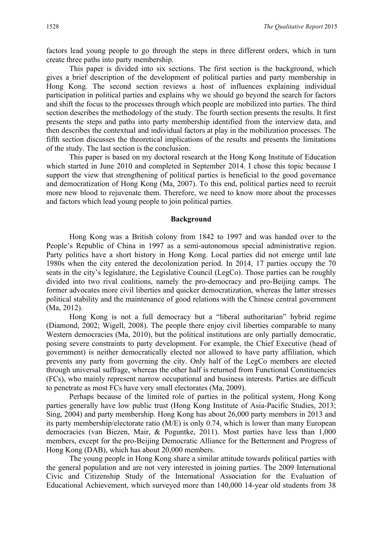factors lead young people to go through the steps in three different orders, which in turn create three paths into party membership.

This paper is divided into six sections. The first section is the background, which gives a brief description of the development of political parties and party membership in Hong Kong. The second section reviews a host of influences explaining individual participation in political parties and explains why we should go beyond the search for factors and shift the focus to the processes through which people are mobilized into parties. The third section describes the methodology of the study. The fourth section presents the results. It first presents the steps and paths into party membership identified from the interview data, and then describes the contextual and individual factors at play in the mobilization processes. The fifth section discusses the theoretical implications of the results and presents the limitations of the study. The last section is the conclusion.

This paper is based on my doctoral research at the Hong Kong Institute of Education which started in June 2010 and completed in September 2014. I chose this topic because I support the view that strengthening of political parties is beneficial to the good governance and democratization of Hong Kong (Ma, 2007). To this end, political parties need to recruit more new blood to rejuvenate them. Therefore, we need to know more about the processes and factors which lead young people to join political parties.

#### **Background**

Hong Kong was a British colony from 1842 to 1997 and was handed over to the People's Republic of China in 1997 as a semi-autonomous special administrative region. Party politics have a short history in Hong Kong. Local parties did not emerge until late 1980s when the city entered the decolonization period. In 2014, 17 parties occupy the 70 seats in the city's legislature, the Legislative Council (LegCo). Those parties can be roughly divided into two rival coalitions, namely the pro-democracy and pro-Beijing camps. The former advocates more civil liberties and quicker democratization, whereas the latter stresses political stability and the maintenance of good relations with the Chinese central government (Ma, 2012).

Hong Kong is not a full democracy but a "liberal authoritarian" hybrid regime (Diamond, 2002; Wigell, 2008). The people there enjoy civil liberties comparable to many Western democracies (Ma, 2010), but the political institutions are only partially democratic, posing severe constraints to party development. For example, the Chief Executive (head of government) is neither democratically elected nor allowed to have party affiliation, which prevents any party from governing the city. Only half of the LegCo members are elected through universal suffrage, whereas the other half is returned from Functional Constituencies (FCs), who mainly represent narrow occupational and business interests. Parties are difficult to penetrate as most FCs have very small electorates (Ma, 2009).

Perhaps because of the limited role of parties in the political system, Hong Kong parties generally have low public trust (Hong Kong Institute of Asia-Pacific Studies, 2013; Sing, 2004) and party membership. Hong Kong has about 26,000 party members in 2013 and its party membership/electorate ratio (M/E) is only 0.74, which is lower than many European democracies (van Biezen, Mair, & Poguntke, 2011). Most parties have less than 1,000 members, except for the pro-Beijing Democratic Alliance for the Betterment and Progress of Hong Kong (DAB), which has about 20,000 members.

The young people in Hong Kong share a similar attitude towards political parties with the general population and are not very interested in joining parties. The 2009 International Civic and Citizenship Study of the International Association for the Evaluation of Educational Achievement, which surveyed more than 140,000 14-year old students from 38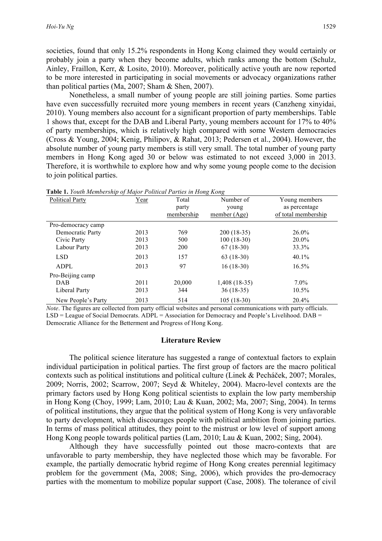societies, found that only 15.2% respondents in Hong Kong claimed they would certainly or probably join a party when they become adults, which ranks among the bottom (Schulz, Ainley, Fraillon, Kerr, & Losito, 2010). Moreover, politically active youth are now reported to be more interested in participating in social movements or advocacy organizations rather than political parties (Ma, 2007; Sham & Shen, 2007).

Nonetheless, a small number of young people are still joining parties. Some parties have even successfully recruited more young members in recent years (Canzheng xinyidai, 2010). Young members also account for a significant proportion of party memberships. Table 1 shows that, except for the DAB and Liberal Party, young members account for 17% to 40% of party memberships, which is relatively high compared with some Western democracies (Cross & Young, 2004; Kenig, Philipov, & Rahat, 2013; Pedersen et al., 2004). However, the absolute number of young party members is still very small. The total number of young party members in Hong Kong aged 30 or below was estimated to not exceed 3,000 in 2013. Therefore, it is worthwhile to explore how and why some young people come to the decision to join political parties.

| <b>Political Party</b> | Year | Total      | Number of      | Young members       |
|------------------------|------|------------|----------------|---------------------|
|                        |      | party      | young          | as percentage       |
|                        |      | membership | member $(Age)$ | of total membership |
| Pro-democracy camp     |      |            |                |                     |
| Democratic Party       | 2013 | 769        | $200(18-35)$   | $26.0\%$            |
| Civic Party            | 2013 | 500        | $100(18-30)$   | 20.0%               |
| Labour Party           | 2013 | 200        | $67(18-30)$    | 33.3%               |
| <b>LSD</b>             | 2013 | 157        | $63(18-30)$    | $40.1\%$            |
| <b>ADPL</b>            | 2013 | 97         | $16(18-30)$    | $16.5\%$            |
| Pro-Beijing camp       |      |            |                |                     |
| <b>DAB</b>             | 2011 | 20,000     | 1,408 (18-35)  | $7.0\%$             |
| Liberal Party          | 2013 | 344        | 36 (18-35)     | 10.5%               |
| New People's Party     | 2013 | 514        | $105(18-30)$   | 20.4%               |

**Table 1.** *Youth Membership of Major Political Parties in Hong Kong*

*Note*. The figures are collected from party official websites and personal communications with party officials. LSD = League of Social Democrats. ADPL = Association for Democracy and People's Livelihood. DAB = Democratic Alliance for the Betterment and Progress of Hong Kong.

#### **Literature Review**

The political science literature has suggested a range of contextual factors to explain individual participation in political parties. The first group of factors are the macro political contexts such as political institutions and political culture (Linek & Pecháček, 2007; Morales, 2009; Norris, 2002; Scarrow, 2007; Seyd & Whiteley, 2004). Macro-level contexts are the primary factors used by Hong Kong political scientists to explain the low party membership in Hong Kong (Choy, 1999; Lam, 2010; Lau & Kuan, 2002; Ma, 2007; Sing, 2004). In terms of political institutions, they argue that the political system of Hong Kong is very unfavorable to party development, which discourages people with political ambition from joining parties. In terms of mass political attitudes, they point to the mistrust or low level of support among Hong Kong people towards political parties (Lam, 2010; Lau & Kuan, 2002; Sing, 2004).

Although they have successfully pointed out those macro-contexts that are unfavorable to party membership, they have neglected those which may be favorable. For example, the partially democratic hybrid regime of Hong Kong creates perennial legitimacy problem for the government (Ma, 2008; Sing, 2006), which provides the pro-democracy parties with the momentum to mobilize popular support (Case, 2008). The tolerance of civil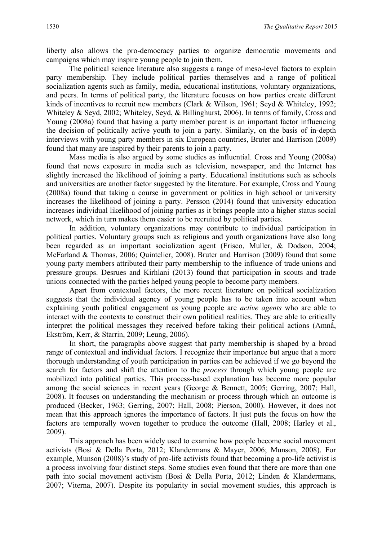liberty also allows the pro-democracy parties to organize democratic movements and campaigns which may inspire young people to join them.

The political science literature also suggests a range of meso-level factors to explain party membership. They include political parties themselves and a range of political socialization agents such as family, media, educational institutions, voluntary organizations, and peers. In terms of political party, the literature focuses on how parties create different kinds of incentives to recruit new members (Clark & Wilson, 1961; Seyd & Whiteley, 1992; Whiteley & Seyd, 2002; Whiteley, Seyd, & Billinghurst, 2006). In terms of family, Cross and Young (2008a) found that having a party member parent is an important factor influencing the decision of politically active youth to join a party. Similarly, on the basis of in-depth interviews with young party members in six European countries, Bruter and Harrison (2009) found that many are inspired by their parents to join a party.

Mass media is also argued by some studies as influential. Cross and Young (2008a) found that news exposure in media such as television, newspaper, and the Internet has slightly increased the likelihood of joining a party. Educational institutions such as schools and universities are another factor suggested by the literature. For example, Cross and Young (2008a) found that taking a course in government or politics in high school or university increases the likelihood of joining a party. Persson (2014) found that university education increases individual likelihood of joining parties as it brings people into a higher status social network, which in turn makes them easier to be recruited by political parties.

In addition, voluntary organizations may contribute to individual participation in political parties. Voluntary groups such as religious and youth organizations have also long been regarded as an important socialization agent (Frisco, Muller, & Dodson, 2004; McFarland & Thomas, 2006; Quintelier, 2008). Bruter and Harrison (2009) found that some young party members attributed their party membership to the influence of trade unions and pressure groups. Desrues and Kirhlani (2013) found that participation in scouts and trade unions connected with the parties helped young people to become party members.

Apart from contextual factors, the more recent literature on political socialization suggests that the individual agency of young people has to be taken into account when explaining youth political engagement as young people are *active agents* who are able to interact with the contexts to construct their own political realities. They are able to critically interpret the political messages they received before taking their political actions (Amnå, Ekström, Kerr, & Starrin, 2009; Leung, 2006).

In short, the paragraphs above suggest that party membership is shaped by a broad range of contextual and individual factors. I recognize their importance but argue that a more thorough understanding of youth participation in parties can be achieved if we go beyond the search for factors and shift the attention to the *process* through which young people are mobilized into political parties. This process-based explanation has become more popular among the social sciences in recent years (George & Bennett, 2005; Gerring, 2007; Hall, 2008). It focuses on understanding the mechanism or process through which an outcome is produced (Becker, 1963; Gerring, 2007; Hall, 2008; Pierson, 2000). However, it does not mean that this approach ignores the importance of factors. It just puts the focus on how the factors are temporally woven together to produce the outcome (Hall, 2008; Harley et al., 2009).

This approach has been widely used to examine how people become social movement activists (Bosi & Della Porta, 2012; Klandermans & Mayer, 2006; Munson, 2008). For example, Munson (2008)'s study of pro-life activists found that becoming a pro-life activist is a process involving four distinct steps. Some studies even found that there are more than one path into social movement activism (Bosi & Della Porta, 2012; Linden & Klandermans, 2007; Viterna, 2007). Despite its popularity in social movement studies, this approach is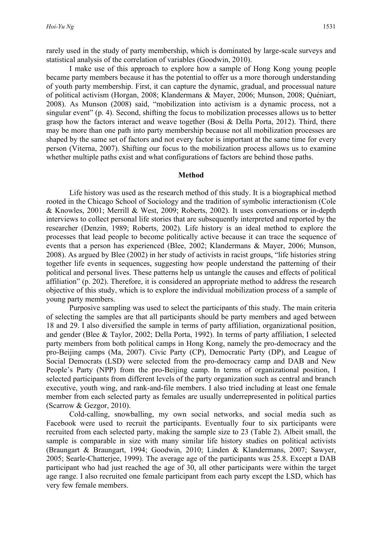rarely used in the study of party membership, which is dominated by large-scale surveys and statistical analysis of the correlation of variables (Goodwin, 2010).

I make use of this approach to explore how a sample of Hong Kong young people became party members because it has the potential to offer us a more thorough understanding of youth party membership. First, it can capture the dynamic, gradual, and processual nature of political activism (Horgan, 2008; Klandermans & Mayer, 2006; Munson, 2008; Quéniart, 2008). As Munson (2008) said, "mobilization into activism is a dynamic process, not a singular event" (p. 4). Second, shifting the focus to mobilization processes allows us to better grasp how the factors interact and weave together (Bosi & Della Porta, 2012). Third, there may be more than one path into party membership because not all mobilization processes are shaped by the same set of factors and not every factor is important at the same time for every person (Viterna, 2007). Shifting our focus to the mobilization process allows us to examine whether multiple paths exist and what configurations of factors are behind those paths.

#### **Method**

Life history was used as the research method of this study. It is a biographical method rooted in the Chicago School of Sociology and the tradition of symbolic interactionism (Cole & Knowles, 2001; Merrill & West, 2009; Roberts, 2002). It uses conversations or in-depth interviews to collect personal life stories that are subsequently interpreted and reported by the researcher (Denzin, 1989; Roberts, 2002). Life history is an ideal method to explore the processes that lead people to become politically active because it can trace the sequence of events that a person has experienced (Blee, 2002; Klandermans & Mayer, 2006; Munson, 2008). As argued by Blee (2002) in her study of activists in racist groups, "life histories string together life events in sequences, suggesting how people understand the patterning of their political and personal lives. These patterns help us untangle the causes and effects of political affiliation" (p. 202). Therefore, it is considered an appropriate method to address the research objective of this study, which is to explore the individual mobilization process of a sample of young party members.

Purposive sampling was used to select the participants of this study. The main criteria of selecting the samples are that all participants should be party members and aged between 18 and 29. I also diversified the sample in terms of party affiliation, organizational position, and gender (Blee & Taylor, 2002; Della Porta, 1992). In terms of party affiliation, I selected party members from both political camps in Hong Kong, namely the pro-democracy and the pro-Beijing camps (Ma, 2007). Civic Party (CP), Democratic Party (DP), and League of Social Democrats (LSD) were selected from the pro-democracy camp and DAB and New People's Party (NPP) from the pro-Beijing camp. In terms of organizational position, I selected participants from different levels of the party organization such as central and branch executive, youth wing, and rank-and-file members. I also tried including at least one female member from each selected party as females are usually underrepresented in political parties (Scarrow & Gezgor, 2010).

Cold-calling, snowballing, my own social networks, and social media such as Facebook were used to recruit the participants. Eventually four to six participants were recruited from each selected party, making the sample size to 23 (Table 2). Albeit small, the sample is comparable in size with many similar life history studies on political activists (Braungart & Braungart, 1994; Goodwin, 2010; Linden & Klandermans, 2007; Sawyer, 2005; Searle-Chatterjee, 1999). The average age of the participants was 25.8. Except a DAB participant who had just reached the age of 30, all other participants were within the target age range. I also recruited one female participant from each party except the LSD, which has very few female members.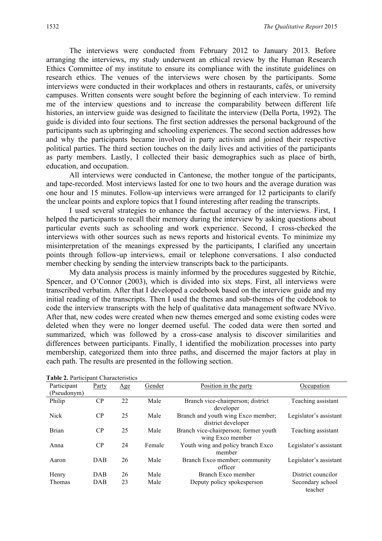The interviews were conducted from February 2012 to January 2013. Before arranging the interviews, my study underwent an ethical review by the Human Research Ethics Committee of my institute to ensure its compliance with the institute guidelines on research ethics. The venues of the interviews were chosen by the participants. Some interviews were conducted in their workplaces and others in restaurants, cafés, or university campuses. Written consents were sought before the beginning of each interview. To remind me of the interview questions and to increase the comparability between different life histories, an interview guide was designed to facilitate the interview (Della Porta, 1992). The guide is divided into four sections. The first section addresses the personal background of the participants such as upbringing and schooling experiences. The second section addresses how and why the participants became involved in party activism and joined their respective political parties. The third section touches on the daily lives and activities of the participants as party members. Lastly, I collected their basic demographics such as place of birth, education, and occupation.

All interviews were conducted in Cantonese, the mother tongue of the participants, and tape-recorded. Most interviews lasted for one to two hours and the average duration was one hour and 15 minutes. Follow-up interviews were arranged for 12 participants to clarify the unclear points and explore topics that I found interesting after reading the transcripts.

I used several strategies to enhance the factual accuracy of the interviews. First, I helped the participants to recall their memory during the interview by asking questions about particular events such as schooling and work experience. Second, I cross-checked the interviews with other sources such as news reports and historical events. To minimize my misinterpretation of the meanings expressed by the participants, I clarified any uncertain points through follow-up interviews, email or telephone conversations. I also conducted member checking by sending the interview transcripts back to the participants.

My data analysis process is mainly informed by the procedures suggested by Ritchie, Spencer, and O'Connor (2003), which is divided into six steps. First, all interviews were transcribed verbatim. After that I developed a codebook based on the interview guide and my initial reading of the transcripts. Then I used the themes and sub-themes of the codebook to code the interview transcripts with the help of qualitative data management software NVivo. After that, new codes were created when new themes emerged and some existing codes were deleted when they were no longer deemed useful. The coded data were then sorted and summarized, which was followed by a cross-case analysis to discover similarities and differences between participants. Finally, I identified the mobilization processes into party membership, categorized them into three paths, and discerned the major factors at play in each path. The results are presented in the following section.

| Participant   | Party      | Age | Gender | Position in the party                 | Occupation             |
|---------------|------------|-----|--------|---------------------------------------|------------------------|
| (Pseudonym)   |            |     |        |                                       |                        |
| Philip        | $\rm CP$   | 22  | Male   | Branch vice-chairperson; district     | Teaching assistant     |
|               |            |     |        | developer                             |                        |
| <b>Nick</b>   | $\rm CP$   | 25  | Male   | Branch and youth wing Exco member;    | Legislator's assistant |
|               |            |     |        | district developer                    |                        |
| <b>Brian</b>  | CP         | 25  | Male   | Branch vice-chairperson; former youth | Teaching assistant     |
|               |            |     |        | wing Exco member                      |                        |
| Anna          | CP         | 24  | Female | Youth wing and policy branch Exco     | Legislator's assistant |
|               |            |     |        | member                                |                        |
| Aaron         | <b>DAB</b> | 26  | Male   | Branch Exco member; community         | Legislator's assistant |
|               |            |     |        | officer                               |                        |
| Henry         | DAB        | 26  | Male   | Branch Exco member                    | District councilor     |
| <b>Thomas</b> | DAB        | 23  | Male   | Deputy policy spokesperson            | Secondary school       |
|               |            |     |        |                                       | teacher                |

**Table 2.** Participant Characteristics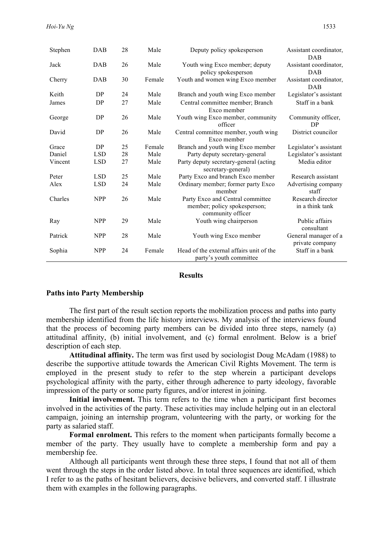| Stephen | DAB        | 28 | Male   | Deputy policy spokesperson                                                            | Assistant coordinator,<br><b>DAB</b>    |
|---------|------------|----|--------|---------------------------------------------------------------------------------------|-----------------------------------------|
| Jack    | <b>DAB</b> | 26 | Male   | Youth wing Exco member; deputy<br>policy spokesperson                                 | Assistant coordinator,<br><b>DAB</b>    |
| Cherry  | <b>DAB</b> | 30 | Female | Youth and women wing Exco member                                                      | Assistant coordinator,<br><b>DAB</b>    |
| Keith   | DP         | 24 | Male   | Branch and youth wing Exco member                                                     | Legislator's assistant                  |
| James   | <b>DP</b>  | 27 | Male   | Central committee member; Branch<br>Exco member                                       | Staff in a bank                         |
| George  | DP         | 26 | Male   | Youth wing Exco member, community<br>officer                                          | Community officer,<br><b>DP</b>         |
| David   | DP         | 26 | Male   | Central committee member, youth wing<br>Exco member                                   | District councilor                      |
| Grace   | DP         | 25 | Female | Branch and youth wing Exco member                                                     | Legislator's assistant                  |
| Daniel  | <b>LSD</b> | 28 | Male   | Party deputy secretary-general                                                        | Legislator's assistant                  |
| Vincent | <b>LSD</b> | 27 | Male   | Party deputy secretary-general (acting<br>secretary-general)                          | Media editor                            |
| Peter   | <b>LSD</b> | 25 | Male   | Party Exco and branch Exco member                                                     | Research assistant                      |
| Alex    | <b>LSD</b> | 24 | Male   | Ordinary member; former party Exco<br>member                                          | Advertising company<br>staff            |
| Charles | <b>NPP</b> | 26 | Male   | Party Exco and Central committee<br>member; policy spokesperson;<br>community officer | Research director<br>in a think tank    |
| Ray     | <b>NPP</b> | 29 | Male   | Youth wing chairperson                                                                | Public affairs<br>consultant            |
| Patrick | <b>NPP</b> | 28 | Male   | Youth wing Exco member                                                                | General manager of a<br>private company |
| Sophia  | <b>NPP</b> | 24 | Female | Head of the external affairs unit of the<br>party's youth committee                   | Staff in a bank                         |

#### **Results**

#### **Paths into Party Membership**

The first part of the result section reports the mobilization process and paths into party membership identified from the life history interviews. My analysis of the interviews found that the process of becoming party members can be divided into three steps, namely (a) attitudinal affinity, (b) initial involvement, and (c) formal enrolment. Below is a brief description of each step.

**Attitudinal affinity.** The term was first used by sociologist Doug McAdam (1988) to describe the supportive attitude towards the American Civil Rights Movement. The term is employed in the present study to refer to the step wherein a participant develops psychological affinity with the party, either through adherence to party ideology, favorable impression of the party or some party figures, and/or interest in joining.

**Initial involvement.** This term refers to the time when a participant first becomes involved in the activities of the party. These activities may include helping out in an electoral campaign, joining an internship program, volunteering with the party, or working for the party as salaried staff.

**Formal enrolment.** This refers to the moment when participants formally become a member of the party. They usually have to complete a membership form and pay a membership fee.

Although all participants went through these three steps, I found that not all of them went through the steps in the order listed above. In total three sequences are identified, which I refer to as the paths of hesitant believers, decisive believers, and converted staff. I illustrate them with examples in the following paragraphs.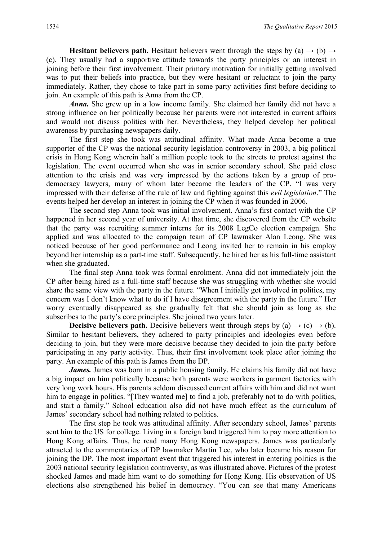**Hesitant believers path.** Hesitant believers went through the steps by (a)  $\rightarrow$  (b)  $\rightarrow$ (c). They usually had a supportive attitude towards the party principles or an interest in joining before their first involvement. Their primary motivation for initially getting involved was to put their beliefs into practice, but they were hesitant or reluctant to join the party immediately. Rather, they chose to take part in some party activities first before deciding to join. An example of this path is Anna from the CP.

*Anna.* She grew up in a low income family. She claimed her family did not have a strong influence on her politically because her parents were not interested in current affairs and would not discuss politics with her. Nevertheless, they helped develop her political awareness by purchasing newspapers daily.

The first step she took was attitudinal affinity. What made Anna become a true supporter of the CP was the national security legislation controversy in 2003, a big political crisis in Hong Kong wherein half a million people took to the streets to protest against the legislation. The event occurred when she was in senior secondary school. She paid close attention to the crisis and was very impressed by the actions taken by a group of prodemocracy lawyers, many of whom later became the leaders of the CP. "I was very impressed with their defense of the rule of law and fighting against this *evil legislation*." The events helped her develop an interest in joining the CP when it was founded in 2006.

The second step Anna took was initial involvement. Anna's first contact with the CP happened in her second year of university. At that time, she discovered from the CP website that the party was recruiting summer interns for its 2008 LegCo election campaign. She applied and was allocated to the campaign team of CP lawmaker Alan Leong. She was noticed because of her good performance and Leong invited her to remain in his employ beyond her internship as a part-time staff. Subsequently, he hired her as his full-time assistant when she graduated.

The final step Anna took was formal enrolment. Anna did not immediately join the CP after being hired as a full-time staff because she was struggling with whether she would share the same view with the party in the future. "When I initially got involved in politics, my concern was I don't know what to do if I have disagreement with the party in the future." Her worry eventually disappeared as she gradually felt that she should join as long as she subscribes to the party's core principles. She joined two years later.

**Decisive believers path.** Decisive believers went through steps by (a)  $\rightarrow$  (c)  $\rightarrow$  (b). Similar to hesitant believers, they adhered to party principles and ideologies even before deciding to join, but they were more decisive because they decided to join the party before participating in any party activity. Thus, their first involvement took place after joining the party. An example of this path is James from the DP.

*James.* James was born in a public housing family. He claims his family did not have a big impact on him politically because both parents were workers in garment factories with very long work hours. His parents seldom discussed current affairs with him and did not want him to engage in politics. "[They wanted me] to find a job, preferably not to do with politics, and start a family." School education also did not have much effect as the curriculum of James' secondary school had nothing related to politics.

The first step he took was attitudinal affinity. After secondary school, James' parents sent him to the US for college. Living in a foreign land triggered him to pay more attention to Hong Kong affairs. Thus, he read many Hong Kong newspapers. James was particularly attracted to the commentaries of DP lawmaker Martin Lee, who later became his reason for joining the DP. The most important event that triggered his interest in entering politics is the 2003 national security legislation controversy, as was illustrated above. Pictures of the protest shocked James and made him want to do something for Hong Kong. His observation of US elections also strengthened his belief in democracy. "You can see that many Americans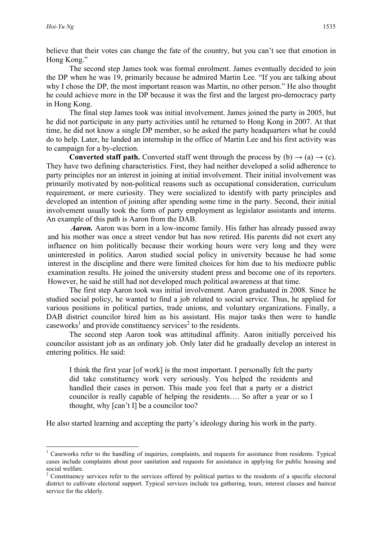believe that their votes can change the fate of the country, but you can't see that emotion in Hong Kong."

The second step James took was formal enrolment. James eventually decided to join the DP when he was 19, primarily because he admired Martin Lee. "If you are talking about why I chose the DP, the most important reason was Martin, no other person." He also thought he could achieve more in the DP because it was the first and the largest pro-democracy party in Hong Kong.

The final step James took was initial involvement. James joined the party in 2005, but he did not participate in any party activities until he returned to Hong Kong in 2007. At that time, he did not know a single DP member, so he asked the party headquarters what he could do to help. Later, he landed an internship in the office of Martin Lee and his first activity was to campaign for a by-election.

**Converted staff path.** Converted staff went through the process by  $(b) \rightarrow (a) \rightarrow (c)$ . They have two defining characteristics. First, they had neither developed a solid adherence to party principles nor an interest in joining at initial involvement. Their initial involvement was primarily motivated by non-political reasons such as occupational consideration, curriculum requirement, or mere curiosity. They were socialized to identify with party principles and developed an intention of joining after spending some time in the party. Second, their initial involvement usually took the form of party employment as legislator assistants and interns. An example of this path is Aaron from the DAB.

*Aaron.* Aaron was born in a low-income family. His father has already passed away and his mother was once a street vendor but has now retired. His parents did not exert any influence on him politically because their working hours were very long and they were uninterested in politics. Aaron studied social policy in university because he had some interest in the discipline and there were limited choices for him due to his mediocre public examination results. He joined the university student press and become one of its reporters. However, he said he still had not developed much political awareness at that time.

The first step Aaron took was initial involvement. Aaron graduated in 2008. Since he studied social policy, he wanted to find a job related to social service. Thus, he applied for various positions in political parties, trade unions, and voluntary organizations. Finally, a DAB district councilor hired him as his assistant. His major tasks then were to handle caseworks<sup>1</sup> and provide constituency services<sup>2</sup> to the residents.

The second step Aaron took was attitudinal affinity. Aaron initially perceived his councilor assistant job as an ordinary job. Only later did he gradually develop an interest in entering politics. He said:

I think the first year [of work] is the most important. I personally felt the party did take constituency work very seriously. You helped the residents and handled their cases in person. This made you feel that a party or a district councilor is really capable of helping the residents…. So after a year or so I thought, why [can't I] be a councilor too?

He also started learning and accepting the party's ideology during his work in the party.

<u> 1989 - Jan Samuel Barbara, margaret e</u>

<sup>1</sup> Caseworks refer to the handling of inquiries, complaints, and requests for assistance from residents. Typical cases include complaints about poor sanitation and requests for assistance in applying for public housing and social welfare.

<sup>&</sup>lt;sup>2</sup> Constituency services refer to the services offered by political parties to the residents of a specific electoral district to cultivate electoral support. Typical services include tea gathering, tours, interest classes and haircut service for the elderly.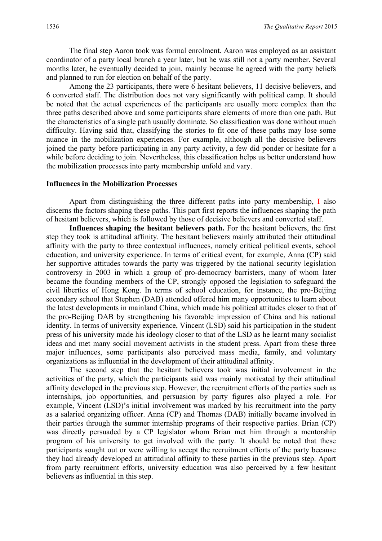The final step Aaron took was formal enrolment. Aaron was employed as an assistant coordinator of a party local branch a year later, but he was still not a party member. Several months later, he eventually decided to join, mainly because he agreed with the party beliefs and planned to run for election on behalf of the party.

Among the 23 participants, there were 6 hesitant believers, 11 decisive believers, and 6 converted staff. The distribution does not vary significantly with political camp. It should be noted that the actual experiences of the participants are usually more complex than the three paths described above and some participants share elements of more than one path. But the characteristics of a single path usually dominate. So classification was done without much difficulty. Having said that, classifying the stories to fit one of these paths may lose some nuance in the mobilization experiences. For example, although all the decisive believers joined the party before participating in any party activity, a few did ponder or hesitate for a while before deciding to join. Nevertheless, this classification helps us better understand how the mobilization processes into party membership unfold and vary.

#### **Influences in the Mobilization Processes**

Apart from distinguishing the three different paths into party membership, I also discerns the factors shaping these paths. This part first reports the influences shaping the path of hesitant believers, which is followed by those of decisive believers and converted staff.

Influences shaping the hesitant believers path. For the hesitant believers, the first step they took is attitudinal affinity. The hesitant believers mainly attributed their attitudinal affinity with the party to three contextual influences, namely critical political events, school education, and university experience. In terms of critical event, for example, Anna (CP) said her supportive attitudes towards the party was triggered by the national security legislation controversy in 2003 in which a group of pro-democracy barristers, many of whom later became the founding members of the CP, strongly opposed the legislation to safeguard the civil liberties of Hong Kong. In terms of school education, for instance, the pro-Beijing secondary school that Stephen (DAB) attended offered him many opportunities to learn about the latest developments in mainland China, which made his political attitudes closer to that of the pro-Beijing DAB by strengthening his favorable impression of China and his national identity. In terms of university experience, Vincent (LSD) said his participation in the student press of his university made his ideology closer to that of the LSD as he learnt many socialist ideas and met many social movement activists in the student press. Apart from these three major influences, some participants also perceived mass media, family, and voluntary organizations as influential in the development of their attitudinal affinity.

The second step that the hesitant believers took was initial involvement in the activities of the party, which the participants said was mainly motivated by their attitudinal affinity developed in the previous step. However, the recruitment efforts of the parties such as internships, job opportunities, and persuasion by party figures also played a role. For example, Vincent (LSD)'s initial involvement was marked by his recruitment into the party as a salaried organizing officer. Anna (CP) and Thomas (DAB) initially became involved in their parties through the summer internship programs of their respective parties. Brian (CP) was directly persuaded by a CP legislator whom Brian met him through a mentorship program of his university to get involved with the party. It should be noted that these participants sought out or were willing to accept the recruitment efforts of the party because they had already developed an attitudinal affinity to these parties in the previous step. Apart from party recruitment efforts, university education was also perceived by a few hesitant believers as influential in this step.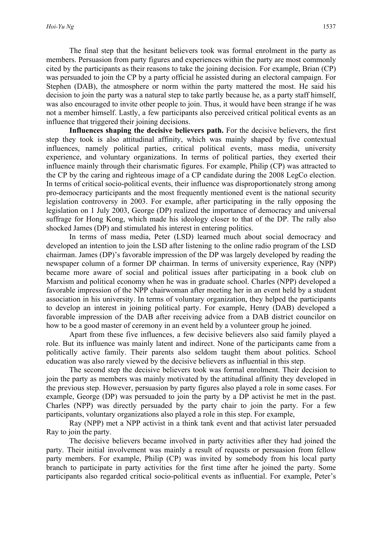The final step that the hesitant believers took was formal enrolment in the party as members. Persuasion from party figures and experiences within the party are most commonly cited by the participants as their reasons to take the joining decision. For example, Brian (CP) was persuaded to join the CP by a party official he assisted during an electoral campaign. For Stephen (DAB), the atmosphere or norm within the party mattered the most. He said his decision to join the party was a natural step to take partly because he, as a party staff himself, was also encouraged to invite other people to join. Thus, it would have been strange if he was not a member himself. Lastly, a few participants also perceived critical political events as an influence that triggered their joining decisions.

**Influences shaping the decisive believers path.** For the decisive believers, the first step they took is also attitudinal affinity, which was mainly shaped by five contextual influences, namely political parties, critical political events, mass media, university experience, and voluntary organizations. In terms of political parties, they exerted their influence mainly through their charismatic figures. For example, Philip (CP) was attracted to the CP by the caring and righteous image of a CP candidate during the 2008 LegCo election. In terms of critical socio-political events, their influence was disproportionately strong among pro-democracy participants and the most frequently mentioned event is the national security legislation controversy in 2003. For example, after participating in the rally opposing the legislation on 1 July 2003, George (DP) realized the importance of democracy and universal suffrage for Hong Kong, which made his ideology closer to that of the DP. The rally also shocked James (DP) and stimulated his interest in entering politics.

In terms of mass media, Peter (LSD) learned much about social democracy and developed an intention to join the LSD after listening to the online radio program of the LSD chairman. James (DP)'s favorable impression of the DP was largely developed by reading the newspaper column of a former DP chairman. In terms of university experience, Ray (NPP) became more aware of social and political issues after participating in a book club on Marxism and political economy when he was in graduate school. Charles (NPP) developed a favorable impression of the NPP chairwoman after meeting her in an event held by a student association in his university. In terms of voluntary organization, they helped the participants to develop an interest in joining political party. For example, Henry (DAB) developed a favorable impression of the DAB after receiving advice from a DAB district councilor on how to be a good master of ceremony in an event held by a volunteer group he joined.

Apart from these five influences, a few decisive believers also said family played a role. But its influence was mainly latent and indirect. None of the participants came from a politically active family. Their parents also seldom taught them about politics. School education was also rarely viewed by the decisive believers as influential in this step.

The second step the decisive believers took was formal enrolment. Their decision to join the party as members was mainly motivated by the attitudinal affinity they developed in the previous step. However, persuasion by party figures also played a role in some cases. For example, George (DP) was persuaded to join the party by a DP activist he met in the past. Charles (NPP) was directly persuaded by the party chair to join the party. For a few participants, voluntary organizations also played a role in this step. For example,

Ray (NPP) met a NPP activist in a think tank event and that activist later persuaded Ray to join the party.

The decisive believers became involved in party activities after they had joined the party. Their initial involvement was mainly a result of requests or persuasion from fellow party members. For example, Philip (CP) was invited by somebody from his local party branch to participate in party activities for the first time after he joined the party. Some participants also regarded critical socio-political events as influential. For example, Peter's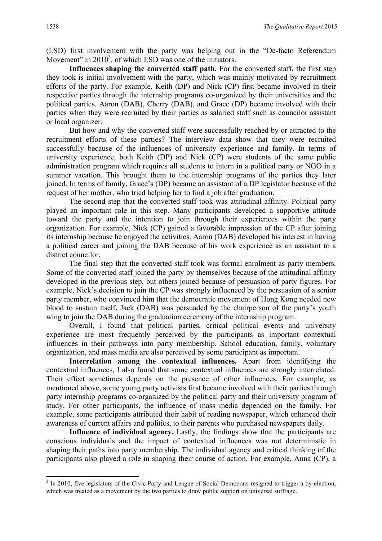(LSD) first involvement with the party was helping out in the "De-facto Referendum Movement" in  $2010<sup>3</sup>$ , of which LSD was one of the initiators.

**Influences shaping the converted staff path.** For the converted staff, the first step they took is initial involvement with the party, which was mainly motivated by recruitment efforts of the party. For example, Keith (DP) and Nick (CP) first became involved in their respective parties through the internship programs co-organized by their universities and the political parties. Aaron (DAB), Cherry (DAB), and Grace (DP) became involved with their parties when they were recruited by their parties as salaried staff such as councilor assistant or local organizer.

But how and why the converted staff were successfully reached by or attracted to the recruitment efforts of these parties? The interview data show that they were recruited successfully because of the influences of university experience and family. In terms of university experience, both Keith (DP) and Nick (CP) were students of the same public administration program which requires all students to intern in a political party or NGO in a summer vacation. This brought them to the internship programs of the parties they later joined. In terms of family, Grace's (DP) became an assistant of a DP legislator because of the request of her mother, who tried helping her to find a job after graduation.

The second step that the converted staff took was attitudinal affinity. Political party played an important role in this step. Many participants developed a supportive attitude toward the party and the intention to join through their experiences within the party organization. For example, Nick (CP) gained a favorable impression of the CP after joining its internship because he enjoyed the activities. Aaron (DAB) developed his interest in having a political career and joining the DAB because of his work experience as an assistant to a district councilor.

The final step that the converted staff took was formal enrolment as party members. Some of the converted staff joined the party by themselves because of the attitudinal affinity developed in the previous step, but others joined because of persuasion of party figures. For example, Nick's decision to join the CP was strongly influenced by the persuasion of a senior party member, who convinced him that the democratic movement of Hong Kong needed new blood to sustain itself. Jack (DAB) was persuaded by the chairperson of the party's youth wing to join the DAB during the graduation ceremony of the internship program.

Overall, I found that political parties, critical political events and university experience are most frequently perceived by the participants as important contextual influences in their pathways into party membership. School education, family, voluntary organization, and mass media are also perceived by some participant as important.

**Interrelation among the contextual influences.** Apart from identifying the contextual influences, I also found that some contextual influences are strongly interrelated. Their effect sometimes depends on the presence of other influences. For example, as mentioned above, some young party activists first became involved with their parties through party internship programs co-organized by the political party and their university program of study. For other participants, the influence of mass media depended on the family. For example, some participants attributed their habit of reading newspaper, which enhanced their awareness of current affairs and politics, to their parents who purchased newspapers daily.

**Influence of individual agency.** Lastly, the findings show that the participants are conscious individuals and the impact of contextual influences was not deterministic in shaping their paths into party membership. The individual agency and critical thinking of the participants also played a role in shaping their course of action. For example, Anna (CP), a

<u> 1989 - Jan Samuel Barbara, margaret e</u>

 $3 \text{ In } 2010$ , five legislators of the Civic Party and League of Social Democrats resigned to trigger a by-election. which was treated as a movement by the two parties to draw public support on universal suffrage.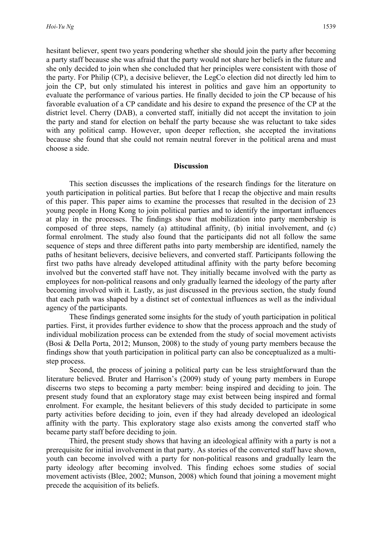hesitant believer, spent two years pondering whether she should join the party after becoming a party staff because she was afraid that the party would not share her beliefs in the future and she only decided to join when she concluded that her principles were consistent with those of the party. For Philip (CP), a decisive believer, the LegCo election did not directly led him to join the CP, but only stimulated his interest in politics and gave him an opportunity to evaluate the performance of various parties. He finally decided to join the CP because of his favorable evaluation of a CP candidate and his desire to expand the presence of the CP at the district level. Cherry (DAB), a converted staff, initially did not accept the invitation to join the party and stand for election on behalf the party because she was reluctant to take sides with any political camp. However, upon deeper reflection, she accepted the invitations because she found that she could not remain neutral forever in the political arena and must choose a side.

#### **Discussion**

This section discusses the implications of the research findings for the literature on youth participation in political parties. But before that I recap the objective and main results of this paper. This paper aims to examine the processes that resulted in the decision of 23 young people in Hong Kong to join political parties and to identify the important influences at play in the processes. The findings show that mobilization into party membership is composed of three steps, namely (a) attitudinal affinity, (b) initial involvement, and (c) formal enrolment. The study also found that the participants did not all follow the same sequence of steps and three different paths into party membership are identified, namely the paths of hesitant believers, decisive believers, and converted staff. Participants following the first two paths have already developed attitudinal affinity with the party before becoming involved but the converted staff have not. They initially became involved with the party as employees for non-political reasons and only gradually learned the ideology of the party after becoming involved with it. Lastly, as just discussed in the previous section, the study found that each path was shaped by a distinct set of contextual influences as well as the individual agency of the participants.

These findings generated some insights for the study of youth participation in political parties. First, it provides further evidence to show that the process approach and the study of individual mobilization process can be extended from the study of social movement activists (Bosi & Della Porta, 2012; Munson, 2008) to the study of young party members because the findings show that youth participation in political party can also be conceptualized as a multistep process.

Second, the process of joining a political party can be less straightforward than the literature believed. Bruter and Harrison's (2009) study of young party members in Europe discerns two steps to becoming a party member: being inspired and deciding to join. The present study found that an exploratory stage may exist between being inspired and formal enrolment. For example, the hesitant believers of this study decided to participate in some party activities before deciding to join, even if they had already developed an ideological affinity with the party. This exploratory stage also exists among the converted staff who became party staff before deciding to join.

Third, the present study shows that having an ideological affinity with a party is not a prerequisite for initial involvement in that party. As stories of the converted staff have shown, youth can become involved with a party for non-political reasons and gradually learn the party ideology after becoming involved. This finding echoes some studies of social movement activists (Blee, 2002; Munson, 2008) which found that joining a movement might precede the acquisition of its beliefs.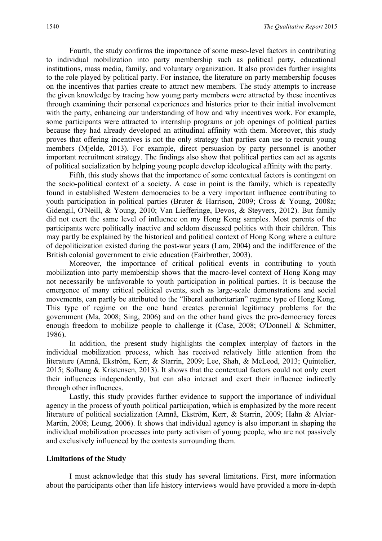Fourth, the study confirms the importance of some meso-level factors in contributing to individual mobilization into party membership such as political party, educational institutions, mass media, family, and voluntary organization. It also provides further insights to the role played by political party. For instance, the literature on party membership focuses on the incentives that parties create to attract new members. The study attempts to increase the given knowledge by tracing how young party members were attracted by these incentives through examining their personal experiences and histories prior to their initial involvement with the party, enhancing our understanding of how and why incentives work. For example, some participants were attracted to internship programs or job openings of political parties because they had already developed an attitudinal affinity with them. Moreover, this study proves that offering incentives is not the only strategy that parties can use to recruit young members (Mjelde, 2013). For example, direct persuasion by party personnel is another important recruitment strategy. The findings also show that political parties can act as agents of political socialization by helping young people develop ideological affinity with the party.

Fifth, this study shows that the importance of some contextual factors is contingent on the socio-political context of a society. A case in point is the family, which is repeatedly found in established Western democracies to be a very important influence contributing to youth participation in political parties (Bruter & Harrison, 2009; Cross & Young, 2008a; Gidengil, O'Neill, & Young, 2010; Van Liefferinge, Devos, & Steyvers, 2012). But family did not exert the same level of influence on my Hong Kong samples. Most parents of the participants were politically inactive and seldom discussed politics with their children. This may partly be explained by the historical and political context of Hong Kong where a culture of depoliticization existed during the post-war years (Lam, 2004) and the indifference of the British colonial government to civic education (Fairbrother, 2003).

Moreover, the importance of critical political events in contributing to youth mobilization into party membership shows that the macro-level context of Hong Kong may not necessarily be unfavorable to youth participation in political parties. It is because the emergence of many critical political events, such as large-scale demonstrations and social movements, can partly be attributed to the "liberal authoritarian" regime type of Hong Kong. This type of regime on the one hand creates perennial legitimacy problems for the government (Ma, 2008; Sing, 2006) and on the other hand gives the pro-democracy forces enough freedom to mobilize people to challenge it (Case, 2008; O'Donnell & Schmitter, 1986).

In addition, the present study highlights the complex interplay of factors in the individual mobilization process, which has received relatively little attention from the literature (Amnå, Ekström, Kerr, & Starrin, 2009; Lee, Shah, & McLeod, 2013; Quintelier, 2015; Solhaug & Kristensen, 2013). It shows that the contextual factors could not only exert their influences independently, but can also interact and exert their influence indirectly through other influences.

Lastly, this study provides further evidence to support the importance of individual agency in the process of youth political participation, which is emphasized by the more recent literature of political socialization (Amnå, Ekström, Kerr, & Starrin, 2009; Hahn & Alviar-Martin, 2008; Leung, 2006). It shows that individual agency is also important in shaping the individual mobilization processes into party activism of young people, who are not passively and exclusively influenced by the contexts surrounding them.

#### **Limitations of the Study**

I must acknowledge that this study has several limitations. First, more information about the participants other than life history interviews would have provided a more in-depth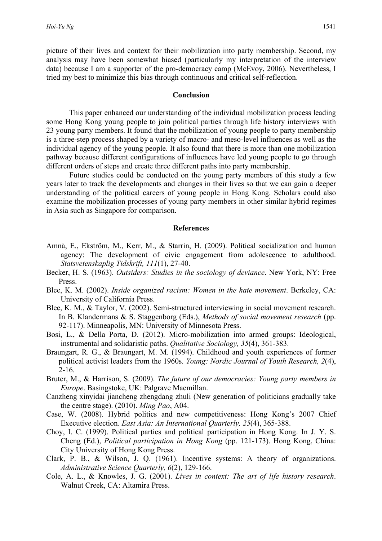picture of their lives and context for their mobilization into party membership. Second, my analysis may have been somewhat biased (particularly my interpretation of the interview data) because I am a supporter of the pro-democracy camp (McEvoy, 2006). Nevertheless, I tried my best to minimize this bias through continuous and critical self-reflection.

#### **Conclusion**

This paper enhanced our understanding of the individual mobilization process leading some Hong Kong young people to join political parties through life history interviews with 23 young party members. It found that the mobilization of young people to party membership is a three-step process shaped by a variety of macro- and meso-level influences as well as the individual agency of the young people. It also found that there is more than one mobilization pathway because different configurations of influences have led young people to go through different orders of steps and create three different paths into party membership.

Future studies could be conducted on the young party members of this study a few years later to track the developments and changes in their lives so that we can gain a deeper understanding of the political careers of young people in Hong Kong. Scholars could also examine the mobilization processes of young party members in other similar hybrid regimes in Asia such as Singapore for comparison.

#### **References**

- Amnå, E., Ekström, M., Kerr, M., & Starrin, H. (2009). Political socialization and human agency: The development of civic engagement from adolescence to adulthood. *Statsvetenskaplig Tidskrift, 111*(1), 27-40.
- Becker, H. S. (1963). *Outsiders: Studies in the sociology of deviance*. New York, NY: Free Press.
- Blee, K. M. (2002). *Inside organized racism: Women in the hate movement*. Berkeley, CA: University of California Press.
- Blee, K. M., & Taylor, V. (2002). Semi-structured interviewing in social movement research. In B. Klandermans & S. Staggenborg (Eds.), *Methods of social movement research* (pp. 92-117). Minneapolis, MN: University of Minnesota Press.
- Bosi, L., & Della Porta, D. (2012). Micro-mobilization into armed groups: Ideological, instrumental and solidaristic paths. *Qualitative Sociology, 35*(4), 361-383.
- Braungart, R. G., & Braungart, M. M. (1994). Childhood and youth experiences of former political activist leaders from the 1960s. *Young: Nordic Journal of Youth Research, 2*(4), 2-16.
- Bruter, M., & Harrison, S. (2009). *The future of our democracies: Young party members in Europe*. Basingstoke, UK: Palgrave Macmillan.
- Canzheng xinyidai jiancheng zhengdang zhuli (New generation of politicians gradually take the centre stage). (2010). *Ming Pao*, A04.
- Case, W. (2008). Hybrid politics and new competitiveness: Hong Kong's 2007 Chief Executive election. *East Asia: An International Quarterly, 25*(4), 365-388.
- Choy, I. C. (1999). Political parties and political participation in Hong Kong. In J. Y. S. Cheng (Ed.), *Political participation in Hong Kong* (pp. 121-173). Hong Kong, China: City University of Hong Kong Press.
- Clark, P. B., & Wilson, J. Q. (1961). Incentive systems: A theory of organizations. *Administrative Science Quarterly, 6*(2), 129-166.
- Cole, A. L., & Knowles, J. G. (2001). *Lives in context: The art of life history research*. Walnut Creek, CA: Altamira Press.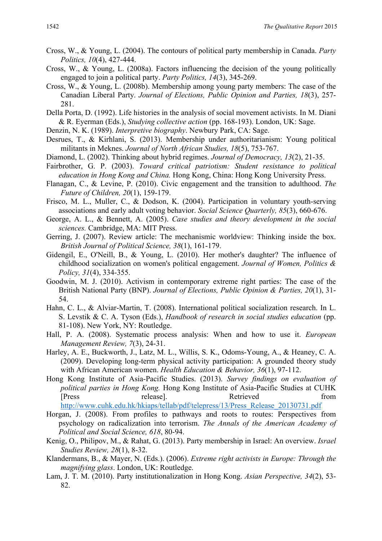- Cross, W., & Young, L. (2004). The contours of political party membership in Canada. *Party Politics, 10*(4), 427-444.
- Cross, W., & Young, L. (2008a). Factors influencing the decision of the young politically engaged to join a political party. *Party Politics, 14*(3), 345-269.
- Cross, W., & Young, L. (2008b). Membership among young party members: The case of the Canadian Liberal Party. *Journal of Elections, Public Opinion and Parties, 18*(3), 257- 281.
- Della Porta, D. (1992). Life histories in the analysis of social movement activists. In M. Diani & R. Eyerman (Eds.), *Studying collective action* (pp. 168-193). London, UK: Sage.
- Denzin, N. K. (1989). *Interpretive biography*. Newbury Park, CA: Sage.
- Desrues, T., & Kirhlani, S. (2013). Membership under authoritarianism: Young political militants in Meknes. *Journal of North African Studies, 18*(5), 753-767.
- Diamond, L. (2002). Thinking about hybrid regimes. *Journal of Democracy, 13*(2), 21-35.
- Fairbrother, G. P. (2003). *Toward critical patriotism: Student resistance to political education in Hong Kong and China.* Hong Kong, China: Hong Kong University Press.
- Flanagan, C., & Levine, P. (2010). Civic engagement and the transition to adulthood. *The Future of Children, 20*(1), 159-179.
- Frisco, M. L., Muller, C., & Dodson, K. (2004). Participation in voluntary youth-serving associations and early adult voting behavior. *Social Science Quarterly, 85*(3), 660-676.
- George, A. L., & Bennett, A. (2005). *Case studies and theory development in the social sciences.* Cambridge, MA: MIT Press.
- Gerring, J. (2007). Review article: The mechanismic worldview: Thinking inside the box. *British Journal of Political Science, 38*(1), 161-179.
- Gidengil, E., O'Neill, B., & Young, L. (2010). Her mother's daughter? The influence of childhood socialization on women's political engagement. *Journal of Women, Politics & Policy, 31*(4), 334-355.
- Goodwin, M. J. (2010). Activism in contemporary extreme right parties: The case of the British National Party (BNP). *Journal of Elections, Public Opinion & Parties, 20*(1), 31- 54.
- Hahn, C. L., & Alviar-Martin, T. (2008). International political socialization research. In L. S. Levstik & C. A. Tyson (Eds.), *Handbook of research in social studies education* (pp. 81-108). New York, NY: Routledge.
- Hall, P. A. (2008). Systematic process analysis: When and how to use it. *European Management Review, 7*(3), 24-31.
- Harley, A. E., Buckworth, J., Latz, M. L., Willis, S. K., Odoms-Young, A., & Heaney, C. A. (2009). Developing long-term physical activity participation: A grounded theory study with African American women. *Health Education & Behavior, 36*(1), 97-112.
- Hong Kong Institute of Asia-Pacific Studies. (2013). *Survey findings on evaluation of political parties in Hong Kong.* Hong Kong Institute of Asia-Pacific Studies at CUHK [Press release]. Retrieved from http://www.cuhk.edu.hk/hkiaps/tellab/pdf/telepress/13/Press\_Release\_20130731.pdf
- Horgan, J. (2008). From profiles to pathways and roots to routes: Perspectives from psychology on radicalization into terrorism. *The Annals of the American Academy of Political and Social Science, 618*, 80-94.
- Kenig, O., Philipov, M., & Rahat, G. (2013). Party membership in Israel: An overview. *Israel Studies Review, 28*(1), 8-32.
- Klandermans, B., & Mayer, N. (Eds.). (2006). *Extreme right activists in Europe: Through the magnifying glass*. London, UK: Routledge.
- Lam, J. T. M. (2010). Party institutionalization in Hong Kong. *Asian Perspective, 34*(2), 53- 82.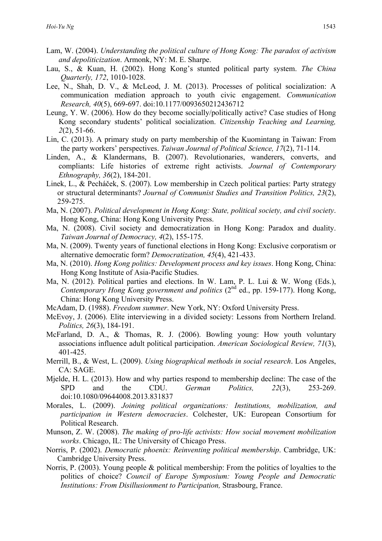- Lam, W. (2004). *Understanding the political culture of Hong Kong: The paradox of activism and depoliticization*. Armonk, NY: M. E. Sharpe.
- Lau, S., & Kuan, H. (2002). Hong Kong's stunted political party system. *The China Quarterly, 172*, 1010-1028.
- Lee, N., Shah, D. V., & McLeod, J. M. (2013). Processes of political socialization: A communication mediation approach to youth civic engagement. *Communication Research, 40*(5), 669-697. doi:10.1177/0093650212436712
- Leung, Y. W. (2006). How do they become socially/politically active? Case studies of Hong Kong secondary students' political socialization. *Citizenship Teaching and Learning, 2*(2), 51-66.
- Lin, C. (2013). A primary study on party membership of the Kuomintang in Taiwan: From the party workers' perspectives. *Taiwan Journal of Political Science, 17*(2), 71-114.
- Linden, A., & Klandermans, B. (2007). Revolutionaries, wanderers, converts, and compliants: Life histories of extreme right activists. *Journal of Contemporary Ethnography, 36*(2), 184-201.
- Linek, L., & Pecháček, S. (2007). Low membership in Czech political parties: Party strategy or structural determinants? *Journal of Communist Studies and Transition Politics, 23*(2), 259-275.
- Ma, N. (2007). *Political development in Hong Kong: State, political society, and civil society*. Hong Kong, China: Hong Kong University Press.
- Ma, N. (2008). Civil society and democratization in Hong Kong: Paradox and duality. *Taiwan Journal of Democracy, 4*(2), 155-175.
- Ma, N. (2009). Twenty years of functional elections in Hong Kong: Exclusive corporatism or alternative democratic form? *Democratization, 45*(4), 421-433.
- Ma, N. (2010). *Hong Kong politics: Development process and key issues*. Hong Kong, China: Hong Kong Institute of Asia-Pacific Studies.
- Ma, N. (2012). Political parties and elections. In W. Lam, P. L. Lui & W. Wong (Eds.), *Contemporary Hong Kong government and politics* (2<sup>nd</sup> ed., pp. 159-177). Hong Kong, China: Hong Kong University Press.
- McAdam, D. (1988). *Freedom summer*. New York, NY: Oxford University Press.
- McEvoy, J. (2006). Elite interviewing in a divided society: Lessons from Northern Ireland. *Politics, 26*(3), 184-191.
- McFarland, D. A., & Thomas, R. J. (2006). Bowling young: How youth voluntary associations influence adult political participation. *American Sociological Review, 71*(3), 401-425.
- Merrill, B., & West, L. (2009). *Using biographical methods in social research*. Los Angeles, CA: SAGE.
- Mjelde, H. L. (2013). How and why parties respond to membership decline: The case of the SPD and the CDU. *German Politics, 22*(3), 253-269. doi:10.1080/09644008.2013.831837
- Morales, L. (2009). *Joining political organizations: Institutions, mobilization, and participation in Western democracies*. Colchester, UK: European Consortium for Political Research.
- Munson, Z. W. (2008). *The making of pro-life activists: How social movement mobilization works*. Chicago, IL: The University of Chicago Press.
- Norris, P. (2002). *Democratic phoenix: Reinventing political membership*. Cambridge, UK: Cambridge University Press.
- Norris, P. (2003). Young people & political membership: From the politics of loyalties to the politics of choice? *Council of Europe Symposium: Young People and Democratic Institutions: From Disillusionment to Participation,* Strasbourg, France.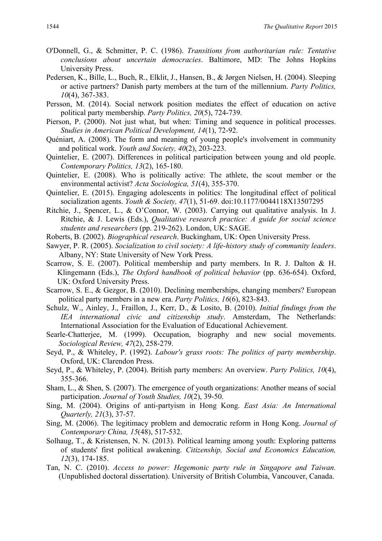- O'Donnell, G., & Schmitter, P. C. (1986). *Transitions from authoritarian rule: Tentative conclusions about uncertain democracies*. Baltimore, MD: The Johns Hopkins University Press.
- Pedersen, K., Bille, L., Buch, R., Elklit, J., Hansen, B., & Jørgen Nielsen, H. (2004). Sleeping or active partners? Danish party members at the turn of the millennium. *Party Politics, 10*(4), 367-383.
- Persson, M. (2014). Social network position mediates the effect of education on active political party membership. *Party Politics, 20*(5), 724-739.
- Pierson, P. (2000). Not just what, but when: Timing and sequence in political processes. *Studies in American Political Development, 14*(1), 72-92.
- Quéniart, A. (2008). The form and meaning of young people's involvement in community and political work. *Youth and Society, 40*(2), 203-223.
- Quintelier, E. (2007). Differences in political participation between young and old people. *Contemporary Politics, 13*(2), 165-180.
- Quintelier, E. (2008). Who is politically active: The athlete, the scout member or the environmental activist? *Acta Sociologica, 51*(4), 355-370.
- Quintelier, E. (2015). Engaging adolescents in politics: The longitudinal effect of political socialization agents. *Youth & Society, 47*(1), 51-69. doi:10.1177/0044118X13507295
- Ritchie, J., Spencer, L., & O'Connor, W. (2003). Carrying out qualitative analysis. In J. Ritchie, & J. Lewis (Eds.), *Qualitative research practice: A guide for social science students and researchers* (pp. 219-262). London, UK: SAGE.
- Roberts, B. (2002). *Biographical research*. Buckingham, UK: Open University Press.
- Sawyer, P. R. (2005). *Socialization to civil society: A life-history study of community leaders*. Albany, NY: State University of New York Press.
- Scarrow, S. E. (2007). Political membership and party members. In R. J. Dalton & H. Klingemann (Eds.), *The Oxford handbook of political behavior* (pp. 636-654). Oxford, UK: Oxford University Press.
- Scarrow, S. E., & Gezgor, B. (2010). Declining memberships, changing members? European political party members in a new era. *Party Politics, 16*(6), 823-843.
- Schulz, W., Ainley, J., Fraillon, J., Kerr, D., & Losito, B. (2010). *Initial findings from the IEA international civic and citizenship study*. Amsterdam, The Netherlands: International Association for the Evaluation of Educational Achievement.
- Searle-Chatterjee, M. (1999). Occupation, biography and new social movements. *Sociological Review, 47*(2), 258-279.
- Seyd, P., & Whiteley, P. (1992). *Labour's grass roots: The politics of party membership*. Oxford, UK: Clarendon Press.
- Seyd, P., & Whiteley, P. (2004). British party members: An overview. *Party Politics, 10*(4), 355-366.
- Sham, L., & Shen, S. (2007). The emergence of youth organizations: Another means of social participation. *Journal of Youth Studies, 10*(2), 39-50.
- Sing, M. (2004). Origins of anti-partyism in Hong Kong. *East Asia: An International Quarterly, 21*(3), 37-57.
- Sing, M. (2006). The legitimacy problem and democratic reform in Hong Kong. *Journal of Contemporary China, 15*(48), 517-532.
- Solhaug, T., & Kristensen, N. N. (2013). Political learning among youth: Exploring patterns of students' first political awakening. *Citizenship, Social and Economics Education, 12*(3), 174-185.
- Tan, N. C. (2010). *Access to power: Hegemonic party rule in Singapore and Taiwan.*  (Unpublished doctoral dissertation). University of British Columbia, Vancouver, Canada.